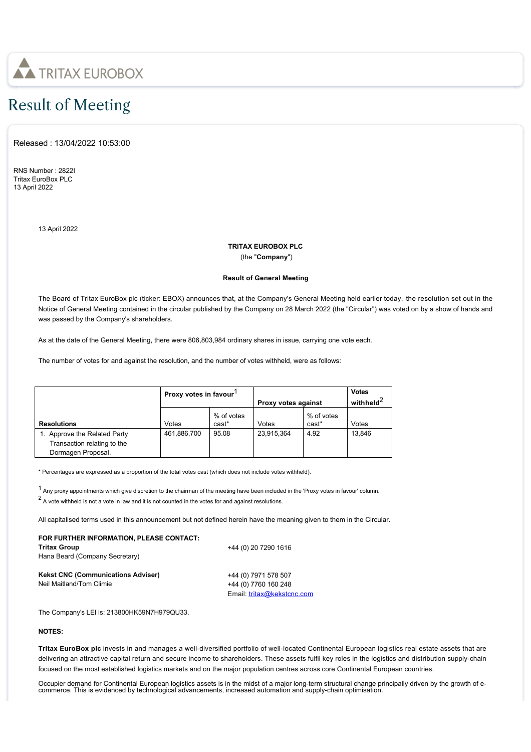

# Result of Meeting

Released : 13/04/2022 10:53:00

RNS Number : 2822I Tritax EuroBox PLC 13 April 2022

13 April 2022

## **TRITAX EUROBOX PLC**

(the "**Company**")

### **Result of General Meeting**

The Board of Tritax EuroBox plc (ticker: EBOX) announces that, at the Company's General Meeting held earlier today, the resolution set out in the Notice of General Meeting contained in the circular published by the Company on 28 March 2022 (the "Circular") was voted on by a show of hands and was passed by the Company's shareholders.

As at the date of the General Meeting, there were 806,803,984 ordinary shares in issue, carrying one vote each.

The number of votes for and against the resolution, and the number of votes withheld, were as follows:

|                                                                                   | Proxy votes in favour |                     | Proxy votes against |                     | <b>Votes</b><br>withheld <sup>2</sup> |
|-----------------------------------------------------------------------------------|-----------------------|---------------------|---------------------|---------------------|---------------------------------------|
| <b>Resolutions</b>                                                                | Votes                 | % of votes<br>cast* | Votes               | % of votes<br>cast* | Votes                                 |
| 1. Approve the Related Party<br>Transaction relating to the<br>Dormagen Proposal. | 461,886,700           | 95.08               | 23,915,364          | 4.92                | 13.846                                |

\* Percentages are expressed as a proportion of the total votes cast (which does not include votes withheld).

<sup>1</sup> Any proxy appointments which give discretion to the chairman of the meeting have been included in the 'Proxy votes in favour' column.

 $2$  A vote withheld is not a vote in law and it is not counted in the votes for and against resolutions.

All capitalised terms used in this announcement but not defined herein have the meaning given to them in the Circular.

#### **FOR FURTHER INFORMATION, PLEASE CONTACT: Tritax Group** Hana Beard (Company Secretary) +44 (0) 20 7290 1616 **Kekst CNC (Communications Adviser)** Neil Maitland/Tom Climie

+44 (0) 7971 578 507 +44 (0) 7760 160 248 Email: [tritax@kekstcnc.com](mailto:tritax@kekstcnc.com)

The Company's LEI is: 213800HK59N7H979QU33.

### **NOTES:**

**Tritax EuroBox plc** invests in and manages a well-diversified portfolio of well-located Continental European logistics real estate assets that are delivering an attractive capital return and secure income to shareholders. These assets fulfil key roles in the logistics and distribution supply-chain focused on the most established logistics markets and on the major population centres across core Continental European countries.

Occupier demand for Continental European logistics assets is in the midst of a major long-term structural change principally driven by the growth of ecommerce. This is evidenced by technological advancements, increased automation and supply-chain optimisation.